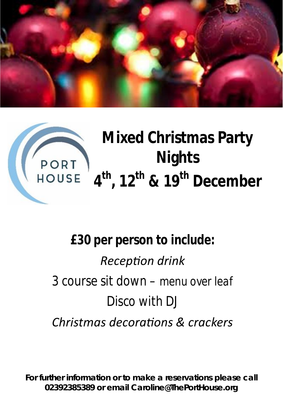



# *£30 per person to include:*

*RecepƟon drink 3 course sit down – menu over leaf Disco with DJ Christmas decoraƟons & crackers*

**For further information or to make a reservations please call 02392385389 or email Caroline@ThePortHouse.org**